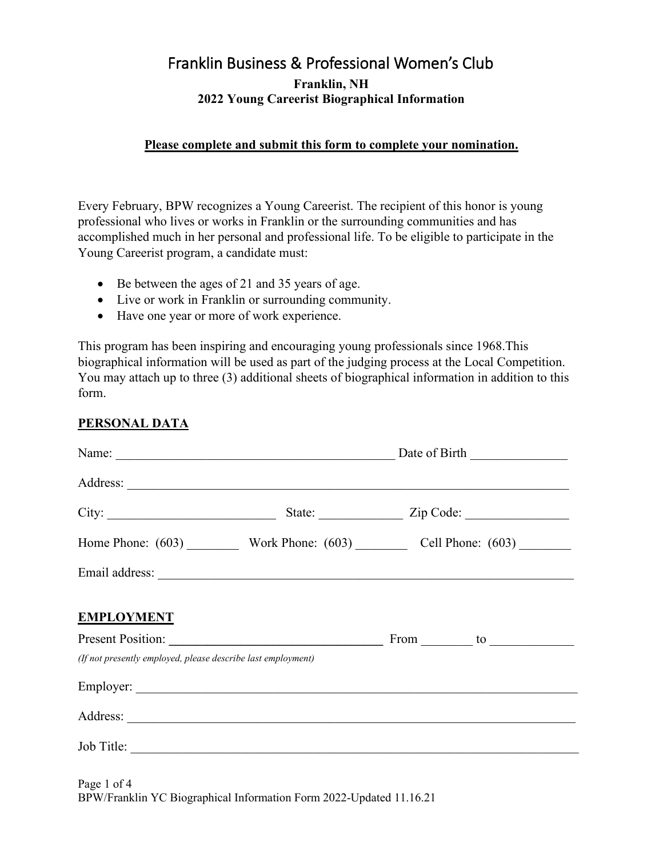# Franklin Business & Professional Women's Club **Franklin, NH 2022 Young Careerist Biographical Information**

### **Please complete and submit this form to complete your nomination.**

Every February, BPW recognizes a Young Careerist. The recipient of this honor is young professional who lives or works in Franklin or the surrounding communities and has accomplished much in her personal and professional life. To be eligible to participate in the Young Careerist program, a candidate must:

- Be between the ages of 21 and 35 years of age.
- Live or work in Franklin or surrounding community.
- Have one year or more of work experience.

This program has been inspiring and encouraging young professionals since 1968.This biographical information will be used as part of the judging process at the Local Competition. You may attach up to three (3) additional sheets of biographical information in addition to this form.

### **PERSONAL DATA**

|                                                              | Date of Birth                                         |  |  |  |  |  |
|--------------------------------------------------------------|-------------------------------------------------------|--|--|--|--|--|
|                                                              |                                                       |  |  |  |  |  |
| City:                                                        | State: <u>Zip Code:</u>                               |  |  |  |  |  |
|                                                              | Home Phone: (603) Work Phone: (603) Cell Phone: (603) |  |  |  |  |  |
|                                                              |                                                       |  |  |  |  |  |
| <b>EMPLOYMENT</b>                                            |                                                       |  |  |  |  |  |
|                                                              |                                                       |  |  |  |  |  |
| (If not presently employed, please describe last employment) |                                                       |  |  |  |  |  |
|                                                              |                                                       |  |  |  |  |  |
|                                                              |                                                       |  |  |  |  |  |
| Job Title:                                                   |                                                       |  |  |  |  |  |

Page 1 of 4 BPW/Franklin YC Biographical Information Form 2022-Updated 11.16.21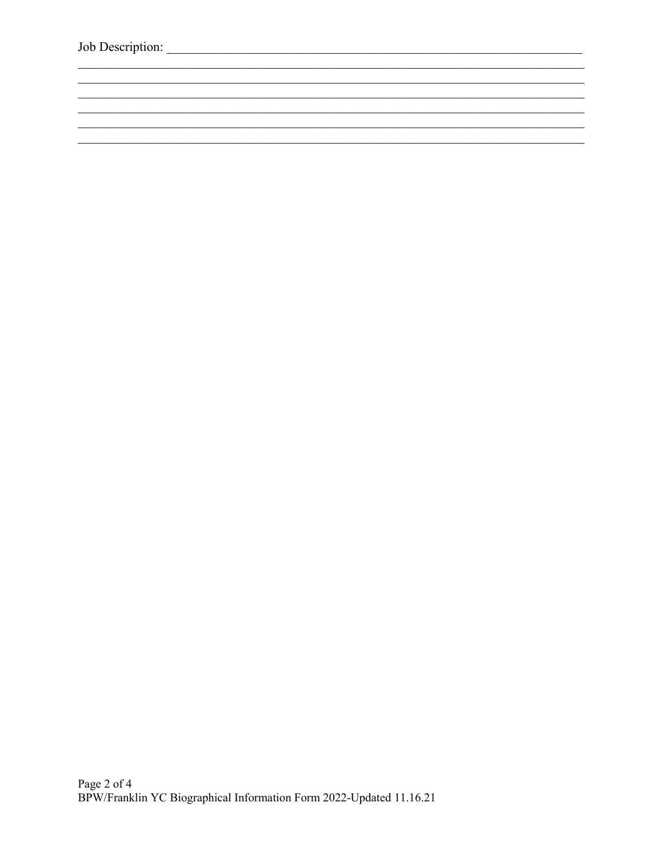<u> 1989 - Johann Stoff, deutscher Stoffen und der Stoffen und der Stoffen und der Stoffen und der Stoffen und der</u>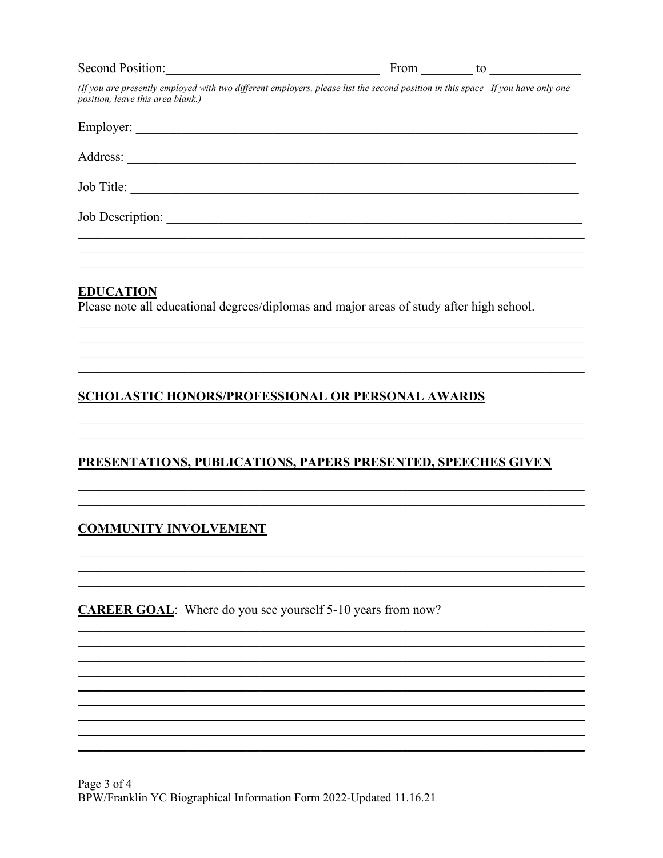| Second Position: | From                                                                                                                            |  |
|------------------|---------------------------------------------------------------------------------------------------------------------------------|--|
|                  | (If you are presently employed with two different employers, please list the second position in this space If you have only one |  |

| Employer:        |  |
|------------------|--|
| Address:         |  |
| Job Title:       |  |
| Job Description: |  |
|                  |  |

### **EDUCATION**

position, leave this area blank.)

Please note all educational degrees/diplomas and major areas of study after high school.

## **SCHOLASTIC HONORS/PROFESSIONAL OR PERSONAL AWARDS**

# PRESENTATIONS, PUBLICATIONS, PAPERS PRESENTED, SPEECHES GIVEN

## **COMMUNITY INVOLVEMENT**

**CAREER GOAL:** Where do you see yourself 5-10 years from now?